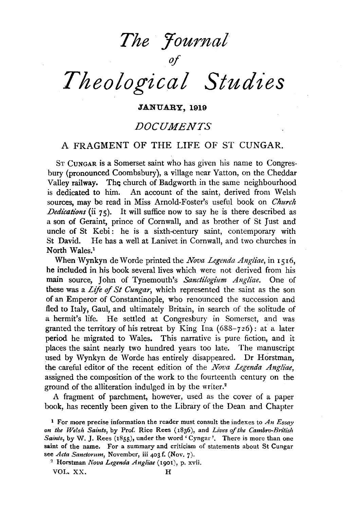*The journal* 

*of* 

# *Theological Studies*

JANUARY, 1919

## *DOCUMENTS*

## A FRAGMENT OF THE LIFE OF ST CUNGAR.

ST CuNGAR is a Somerset saint who has given his name to Congresbury (pronounced Coombsbury), a village near Yatton, on the Cheddar Valley railway. The church of Badgworth in the same neighbourhood is dedicated to him. An account of the saint, derived from Welsh sources, may be read in Miss Arnold-Foster's useful book on *Church Dedications* (ii 75). It will suffice now to say he is there described as a son of Geraint, prince of Cornwall, and as brother of St Just and uncle of St Kebi: he is a sixth-century saint, contemporary with St David. He has a well at Lanivet in Cornwall, and two churches in North Wales.<sup>1</sup>

When Wynkyn de Worde printed the *Nova Legenda Angliae*, in 1516, he included in his book several lives which were not derived from his main source, John of Tynemouth's *Sanctilogium Angliae.* One of these was a *Life of St Cungar,* which represented the saint as the son of an Emperor of Constantinople, who renounced the succession and fled to Italy, Gaul, and ultimately Britain, in search of the solitude of a hermit's life. He settled at Congresbury in Somerset, and was granted the territory of his retreat by King Ina  $(688-726)$ : at a later period he migrated to Wales. This narrative is pure fiction, and it places the saint nearly two hundred years too late. The manuscript used by Wynkyn de Worde has entirely disappeared. Dr Horstman, the careful editor of the recent edition of the *Nova Legenda Angliae*, assigned the composition of the work to the fourteenth century on the ground of the alliteration indulged in by the writer.2

A fragment of parchment, however, used as the cover of a paper book, has recently been given to the Library of the Dean and Chapter

<sup>2</sup>Horstman *Nova Legenda Angliae* (1901), p. xvii.

VOL. XX. H

<sup>1</sup> For more precise information the reader must consult the indexes to *An Essay on the Welsh Saints,* by Prof. Rice Rees ( 1836), and *Lives of the Cambro-British Saints, by W. J. Rees (1855), under the word 'Cyngar'.* There is more than one saint of the name. For a summary and criticism of statements about St Cungar see *Acta Sanctorum,* November, iii 403 f. (Nov. 7).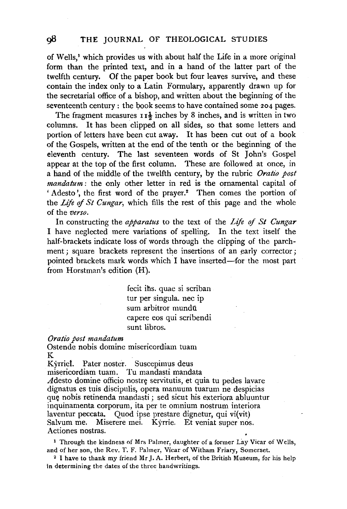of Wells,<sup>1</sup> which provides us with about half the Life in a more original form than the printed text, and in a hand of the latter part of the twelfth century. Of the paper book but four leaves survive, and these contain the index only to a Latin Formulary, apparently drawn up for the secretarial office of a bishop, and written about the beginning of the seventeenth century : the book seems to have contained some 204 pages.

The fragment measures  $11\frac{1}{2}$  inches by 8 inches, and is written in two columns. It has been clipped on all sides, so that some letters and portion of letters have been cut away. It has been cut out of a book of the Gospels, written at the end of the tenth or the beginning of the eleventh century. The last seventeen words of St John's Gospel appear at the top of the first column. These are followed at once, in a hand of the middle of the twelfth century, by the rubric *Oratio post mandatum* : the only other letter in red is the ornamental capital of 'Adesto', the first word of the prayer.<sup>2</sup> Then comes the portion of the *Life* of *St Cungar,* which fills the rest of this page and the whole of the *verso.* 

In constructing the *apparatus* to the text of the *Life* of *St Cungar*  I have neglected mere variations of spelling. In the text itself the half-brackets indicate loss of words through the clipping of the parchment; square brackets represent the insertions of an early corrector; pointed brackets mark words which I have inserted-for the most part from Horstman's edition (H).

> fecit ihs. quae si scriban tur per singula. nee ip sum arbitror mundū capere eos qui scribendi sunt libros.

#### *Oratio post mandatum*

Ostende nobis domine misericordiam tuam K

Kyrriet. Pater noster. Suscepimus deus misericordiam tuam. Tu mandasti mandata  $A$ desto domine officio nostrę servitutis, et quia tu pedes lavare dignatus es tuis discipulis, opera manuum tuarum ne despicias que nobis retinenda mandasti ; sed sicut his exteriora abluuntur inquinamenta corporum, ita per te omnium nostrum interiora laventur peccata, Quod ipse prestare dignetur, qui vi(vit) Salvum me. Miserere mei. Kyrrie. Et veniat super nos. Actiones nostras.

<sup>1</sup> Through the kindness of Mrs Palmer, daughter of a former Lay Vicar of Wells, and of her son, the Rev. T. F. Palmer, Vicar of Witham Friary, Somerset.

<sup>2</sup> I have to thank my friend Mr J. A. Herbert, of the British Museum, for his help in determining the dates of the three handwritings.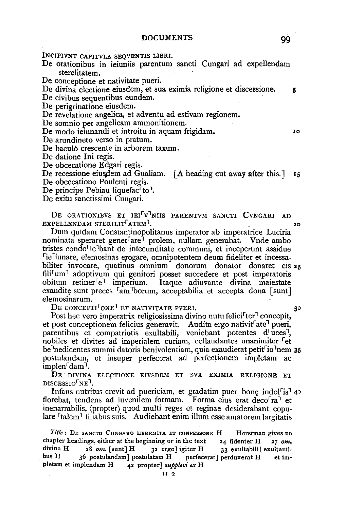lNCIPIVNT CAPITVLA SEQVENTIS LIBRI.

De orationibus in ieiuniis parentum sancti Cungari ad expellendam sterelitatem.

De conceptione et nativitate pueri.

De divina electione eiusdem, et sua eximia religione et discessione. 5

De civibus sequentibus eundem.

De perigrinatione eiusdem.

De revelatione angelica, et adventu ad estivam regionem.

De somnio per angelicam ammonitionem.

De modo ieiunandi et introitu in aquam frigidam.

De arundineto verso in pratum.

De baculó crescente in arborem taxum.

De datione Ini regis.

De obcecatione Edgari regis.

De recessione eiusdem ad Gualiam.  $[A]$  heading cut away after this.  $]$  15 De obcecatione Poulenti regis.

De principe Pebiau liquefac<sup>r</sup>to<sup>1</sup>.

De exitu sanctissimi Cungari.

DE ORATIONIBVS ET IEI<sup>f V'I</sup>NIIS PARENTVM SANCTI CVNGARI AD  $EXPELLENDAM$  STERILIT $\lceil \text{ATEM} \rceil$ ,  $20$ 

Dum quidam Constantinopolitanus imperator ab imperatrice Luciria nominata speraret gener<sup>r</sup>are<sup>1</sup> prolem, nullam generabat. Vnde ambo tristes condo<sup>r</sup>le<sup>1</sup>bant de infecunditate communi, et inceperunt assidue rie <sup>1</sup>iunare, elemosinas erogare, omnipotentem deum fideliter et incessabiliter invocare, quatinus omnium donorum donator donaret eis 25 fili<sup>r</sup>um<sup>1</sup> adoptivum qui genitori posset succedere et post imperatoris obitum retiner<sup>r</sup>e<sup>1</sup> imperium. Itaque adiuvante divina maiestate exaudite sunt preces <sup>r</sup>am borum, acceptabilia et accepta dona [sunt] elemosinarum.

 $\rm{D}\varepsilon$  concepti<sup>t</sup> one<sup>1</sup> et nativitate pveri.  $\rm{30}$ 

Post hec vero imperatrix religiosissima divino nutu felici<sup>f</sup>ter<sup>1</sup> concepit, et post conceptionem felicius generavit. Audita ergo nativit<sup>r</sup>ate<sup>1</sup> pueri, parentibus et compatriotis exultabili, veniebant potentes d<sup>r</sup>uces<sup>1</sup>, nobiles et divites ad imperialem curiam, collaudantes unanimiter <sup>r</sup>et be nedicentes summi datoris benivolentiam, quia exaudierat petit<sup>r</sup>io<sup>1</sup>nem 35 postulandam, et insuper perfecerat ad perfectionem impletam ac implen<sup>r</sup> dam<sup>1</sup>.

DE DlVINA ELECTIONE EIVSDEM ET SVA EXIMIA RELIGIONE ET DISCESSIO<sup>F</sup>NE<sup>1</sup>.

Infans nutritus crevit ad puericiam, et gradatim puer bone indol<sup>[1</sup>is<sup>7</sup>4<sup>2</sup> florebat, tendens ad iuvenilem formam. Forma eius erat deco<sup>rra</sup> et inenarrabilis, (propter) quod multi reges et reginae desiderabant copulare <sup>r</sup>talem<sup>1</sup> filiabus suis. Audiebant enim illum esse amatorem largitatis

*Title:* DE SANCTO CuNGARO HEREMITA ET coNFESSORE H Horstman gives no chapter headings, either at the beginning or in the text 24 fidenter H 27 *om.*  divina H 28 om. [sunt] H 32 ergo] igitur H 33 exultabili | exultantibus H 36 postulandam] postulatam H perfecerat] perduxerat H et impletam et implendam H 42 propter] *supplevi ex* H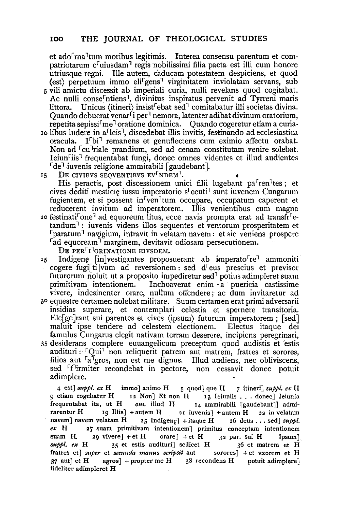et ado<sup>r</sup>ma<sup>1</sup>tum moribus legitimis. Interea consensu parentum et compatriotarum c<sup>r</sup>uiusdam<sup>1</sup> regis nobilissimi filia pacta est illi cum honore utriusque regni. Ille autem, caducam potestatem despiciens, et quod (est) perpetuum immo eli<sup>r</sup>gens<sup>1</sup> virginitatem inviolatam servans, sub 5 vili amictu. discessit ab imperiali curia, nulli revelans quod cogitabat. Ac nulli conse<sup>r</sup>ntiens<sup>1</sup>, divinitus inspiratus pervenit ad Tyrreni maris littora. Unicus (itineri) insist<sup>r</sup>ebat sed<sup>1</sup> comitabatur illi societas divina. Quando debuerat venar<sup> $\tilde{\ }$ </sup>i per<sup>1</sup> nemora, latenter adibat divinum oratorium, repetita sepissi<sup>r</sup>me<sup>1</sup> oratione dominica. Quando cogeretur etiam a curiaxo libus ludere in afieis 1, discedebat illis invitis, festinando ad ecclesiastica oracula. Fbjl remanens et genuflectens cum eximio affectu orabat. Non ad <sup>r</sup>cu <sup>1</sup>riale prandium, sed ad cenam constitutam venire solebat. Ieiun<sup>r</sup>iis<sup>1</sup> frequentabat fungi, donec omnes videntes et illud audientes  $\lceil de^{\dagger}$  iuvenis religione ammirabili [gaudebant].

15 DE CIVIBVS SEQVENTIBVS EV<sup>F</sup>NDEM<sup>1</sup>.

His peractis, post discessionem unici filii lugebant pa<sup>r</sup> ren <sup>1</sup>tes; et cives dediti mesticie iussu imperatorio s<sup>r</sup>ecuti<sup>1</sup> sunt iuvenem Cungarum fugientem, et si possent in<sup>r</sup>ven<sup>1</sup>tum occupare, occupatum caperent et reducerent invitum ad imperatorem. Illis venientibus cum magna <sup>20</sup> festinati<sup>r</sup>one<sup>1</sup> ad equoreum litus, ecce navis prompta erat ad transfr<sup>r</sup>e $t$ andum<sup>1</sup>: iuvenis videns illos sequentes et ventorum prosperitatem et  $r_{\text{param}}$  navigium, intravit in velatam navem: et sic veniens prospere <sup>r</sup>ad equoream<sup>1</sup> marginem, devitavit odiosam persecutionem.

DE PER<sup>F<sub>I</sub>]GRINATIONE</sub> EIVSDEM.</sup>

 $25$  Indigene [in]vestigantes proposuerant ab imperato<sup>r re 1</sup> ammoniti cogere fugif ti vum ad reversionem: sed d<sup>r</sup>eus prescius et previsor futurorum noluit ut a proposito impediretur sed<sup>1</sup> potius adimpleret suam primitivam intentionem. Inchoaverat enim -a puericia castissime vivere, indesinenter orare, nullum offendere; ac dum invitaretur ad

- 30 equestre certamen nolebat militare. Suum certamen erat primi adversarii insidias superare, et contemplari celestia et spernere transitoria. Ele[ge ]rant sui parentes et cives (ipsum) futurum imperatorem ; [sed] maluit ipse tendere ad celestem electionem. Electus itaque dei famulus Cungarus elegit nativam terram deserere, incipiens peregrinari,
- 35 desiderans complere euuangelicum preceptum quod audistis et estis audituri : <sup>r</sup>Qui<sup>1</sup> non reliquerit patrem aut matrem, fratres et sorores, filios aut <sup>r</sup>a <sup>1</sup>gros, non est me dignus. Illud audiens, nec obliviscens, sed <sup>r</sup>f<sup>1</sup>irmiter recondebat in pectore, non cessavit donec potuit adimplere.

4 est] *suppl. ex* H immo] animo H 5 quod] que H *7* itineri] *suppl. e.¥* H 9 etiam cogebatur H 12 Non] Et non H 13 Ieiuniis . . . donec] Ieiunia<br>frequentabat ita, ut H om. illud H 14 ammirabili [gaudebant]] admi-I4 ammirabili [gaudebant]] admirarentur H 19 Illis] + autem H 21 iuvenis] + autem H 22 in velatam navem] navem velatam H  $_{25}$  Indigene] + itaque H  $_{26}$  deus ... sed J *suppl.*  $ex$  H  $_{27}$  suam primitivam intentionem primitus conceptam intentionem 27 suam primitivam intentionem] primitus conceptam intentionem suam H. 29 vivere] + et H orare] + et H 32 par. sui H ipsum] suppl, ex H 35 et estis audituri] scilicet H 36 et matrem et H fratres et] *super* et *secunda manus scripsit* aut sorores] + et vxorem et H  $37$  aut] et H agros] + propter me H  $38$  recondens H potuit adimplere] fideliter adimpleret H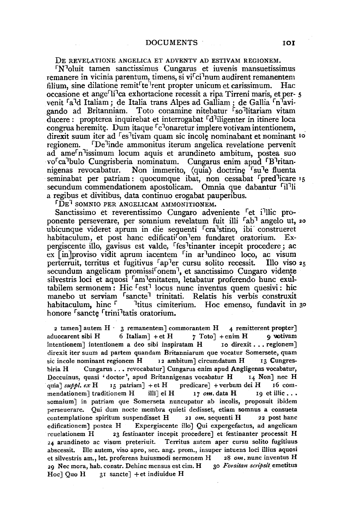DE REVELATIONE ANGELICA ET ADVENTV AD ESTIVAM REGIONEM.

 $N<sup>1</sup>$ oluit tamen sanctissimus Cungarus et iuvenis mansuetissimus remanere in vicinia parentum, timens, si vi $\lceil$ ci<sup>1</sup>num audirent remanentem filium, sine dilatione remit<sup>r</sup>te<sup>1</sup>rent propter unicum et carissimum. Hac occasione et ange<sup>rlid</sup>ca exhortacione recessit a ripa Tirreni maris, et per-  $5$ venit <sup>r</sup>a<sup>1</sup>d Italiam; de Italia trans Alpes ad Galliam; de Gallia <sup>r</sup>n<sup>1</sup>avigando ad Britanniam. Toto conamine nitebatur so<sup>n</sup>litariam vitam ducere : propterea inquirebat et interrogabat <sup>r</sup> d<sup>1</sup>iligenter in itinere loca congrua heremite. Dum itaque  $\lceil c \rceil$ onaretur implere votivam intentionem, direxit suum iter ad <sup>r</sup>es tivam quam sic incole nominabant et nominant <sup>10</sup> regionem. De <sup>1</sup>inde ammonitus iterum angelica revelatione pervenit ad ame<sup>r</sup>n issimum locum aquis et arundineto ambitum, postea suo vo<sup>r</sup>ca bulo Cungrisberia nominatum. Cungarus enim apud <sup>r</sup>B<sup>1</sup>ritannigenas revocabatur. Non immerito, (quia) doctrine su e fluenta seminabat per patriam : quocumque ibat, non cessabat <sup>r</sup>pred<sup>1</sup>icare 15 secundum commendationem apostolicam. Omnia que dabantur <sup>f</sup>il<sup>1</sup>li a regibus et divitibus, data continua erogabat pauperibus.

 $\overline{PDE}$  SOMNIO PER ANGELICAM AMMONITIONEM.

Sanctissimo et reverentissimo Cungaro adveniente <sup>r</sup> et i<sup>1</sup>llic proponente perseverare, per somnium revelatum fuit illi <sup>f</sup>ab<sup>1</sup> angelo ut, 20 ubicunque videret aprum in die sequenti <sup>r</sup> cra<sup>1</sup>stino, ibi<sup>-</sup> construeret habitaculum, et post hanc edificati<sup>f</sup>on<sup>1</sup>em fundaret oratorium. Expergiscente illo, gavisus est valde, <sup>r</sup>fes<sup>1</sup>tinanter incepit procedere; ac  $ex$  [in] proviso vidit aprum iacentem <sup>r</sup>in ar <sup>1</sup>undineo loco, ac visum perterruit, territus et fugitivus  $a_p$ <sup>1</sup>er cursu solito recessit. Illo viso  $a_5$ secundum angelicam promissi<sup>r</sup>onem<sup>1</sup>, et sanctissimo Cungaro vidente silvestris loci et aquosi <sup>r</sup>am <sup>1</sup>enitatem, letabatur proferendo hunc exultabilem sermonem : Hic <sup>r</sup>est<sup>1</sup> locus nunc inventus quem quesivi : hic manebo ut serviam  $\lceil \frac{\text{sancte}}{\text{attn}} \rceil$  trinitati. Relatis his verbis construxit habitaculum, hinc  $\lceil \frac{\text{attn}}{\text{attn}} \rceil$  titus cimiterium. Hoc emenso, fundavit in <sup>1</sup> litus cimiterium. Hoc emenso, fundavit in 30 honore <sup>r</sup> sancte <sup>r</sup> trini<sup>1</sup>tatis oratorium.

2 tamen] autem  $H - 3$  remanentem] commorantem  $H - 4$  remitterent propter] aduocarent sibi H 6 Italiam] + et H 7 Toto] + enim H 9 wotivam<br>intentionem 1 intentionem a deo sibi inspiratam H 10 direxit... regionem intentionem] intentionem a deo sibi inspiratam H direxit iter suum ad partem quandam Britanniarum que vocatur Somersete, quam sic incole nominant regionem  $H = 12$  ambitum] circumdatum  $H = 13$  Cungres-12 ambitum] circumdatum H 13 Cungresbiria H Cungarus ... revocabatur] Cungarus enim apud Angligenas vocabatur,<br>Doccuinus, quasi 'doctor', apud Britannigenas vocabatur H  $I_4$  Non] nec H Doccuinus, quasi 'doctor', apud Britannigenas vocabatur H *·quia]suppl.exH* 15 patriam] +etH predicare] +verbumdeiH 16 commendationem] traditionem H illi] ei H 17 om. data H 19 et illic ... somnium] in patriam que Somerseta nuncupatur ab incolis, proposuit ibidem perseuerare. Qui dum nocte membra quieti dedisset, etiam somnus a consueta contemplatione spiritum suspendisset **H** 21 *om.* sequenti H 22 post banc edificationem] postea H Expergiscente illo] Qui expergefactus, ad angelicam reuelationem H 23 festinanter incepit procedere] et festinanter processit H 24 arundineto ac visum preteriuit. Territus autem aper cursu solito fugitiuus abscessit. Ille autem, viso apro, sec. ang. prom., insuper intuens loci illius aquosi et silvestris am., let. proferens huiusmodi sermonem H 28 *om.* nunc inventus H 29 Nec mora, hab. constr. Dehinc mensus est cim. H 30 Forsitan scripsit emetitus Hoc] Quo  $H = 3I$  sancte] + et indiuidue H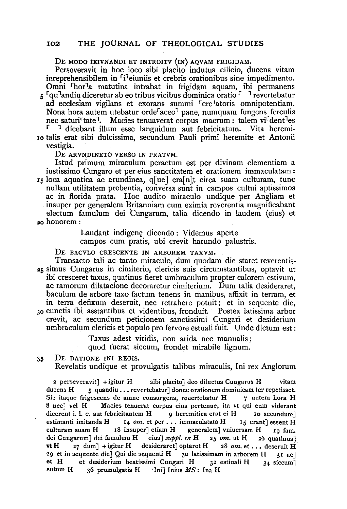### 102 THE JOURNAL OF THEOLOGICAL STUDIES

DE MODO JEIVNANDI ET INTROITV (IN) AQVAM FRIGIDAM.

Perseveravit in hoc loco sibi placito indutus cilicio, ducens vitam inreprehensibilem in <sup>r</sup>i<sup>1</sup>eiuniis et crebris orationibus sine impedimento. Omni <sup>r</sup>hor<sup>1</sup>a matutina intrabat in frigidam aquam, ibi permanens 5 <sup>r</sup>qu<sup>1</sup>andiu diceretur ab eo tribus vicibus dominica oratio<sup>r</sup> <sup>1</sup> revertebatur ad ecclesiam vigilans et exorans summi <sup>r</sup>cre<sup>1</sup>atoris omnipotentiam. Nona hora autem utebatur orde<sup>r</sup>aceo<sup>7</sup> pane, numquam fungens ferculis nec saturi<sup>r</sup>tate<sup>1</sup>. Macies tenuaverat corpus macrum: talem vi<sup>r</sup>dent<sup>1</sup>es <sup>1</sup> dicebant illum esse languidum aut febricitatum. Vita heremi-

ro talis erat sibi dulcissima, secundum Pauli primi heremite et Antonii vestigia.

DE ARVNDINETO VERSO IN PRATVM.

Istud primum miraculum peractum est per divinam clementiam a iustissimo Cungaro et per eius sanctitatem et orationem immaculatam :  $r_5$  loca aquatica ac arundinea, q[ue] era[n]t circa suam culturam, tunc nullam utilitatem prebentia, conversa sunt in campos cultui aptissimos in super per generalem Britanniam cum eximia reverentia magnificabant electum famulum dei tungarum, talia dicendo in laudem (eius) et ao honorem:

> Laudant indigene dicendo: Videmus aperte campos cum pratis, ubi crevit harundo palustris.

DE BACVLO CRESCENTE IN ARBOREM TAXVM.

Transacto tali ac tanto miraculo, dum quodam die staret reverentis-· :15 simus Cungarus in cimiterio, clericis suis circumstantibus, optavit ut ibi cresceret taxus, quatinus fieret umbraculum propter calorem estivum, ac ramorum dilatacione decoraretur cimiterium. Dum talia desideraret, baculum de arbore taxa factum tenens in manibus, affixit in terram, et in terra defixum deseruit, nee retrahere potuit; et in sequente die, 30 cunctis ibi asstantibus et videntibus, fronduit. Postea latissima arbor crevit, ac secundum peticionem sanctissimi Cungari et desiderium umbraculum clericis et populo pro fervore estuali fuit. Unde dictum est:

Taxus adest viridis, non arida nee manualis ;

quod fuerat siccum, frondet mirabile lignum.

35 DE DATIONE INI REGIS.

Revelatis undique et provulgatis talibus miraculis, lni rex Anglorum

2 perseveravit] + igitur  $H$  sibi placito] deo dilectus Cungarus  $H$  vitam ducens  $H = 5$  quandiu ... revertebatur] donec orationem dominicam ter repetisset. Sic itaque frigescens de amne consurgens, reuertebatur H 7 autem hora H 8 nee] vel H Macies tenuerat corpus eius pertenue, ita *vt* qui eum viderant dicerent i. l. e. aut febricitantem H 9 heremitica erat ei H 10 secundum] estimanti imitanda H 14 *om.* et per . . . immaculatam H 15 erant] essent H culturam suam H 18 insuper] etiam H generalem] vniuersam H 19 fam. dei Cungarum] dei famulum H eius] *suppl. ex* H 25 *om.* ut H 26 quatinus] vt H  $_{27}$  dum] + igitur H desideraret] optaret H  $_{28}$  om. et... deseruit H 29 et in sequente die] Qui die sequenti H 30 latissimam in arborem H 31 ac] et H et desiderium beatissimi Cungari H  $3^2$  estiuali H  $3^4$  siccum sutum H 36 promulgatis H 'Ini] Inius MS: Ina H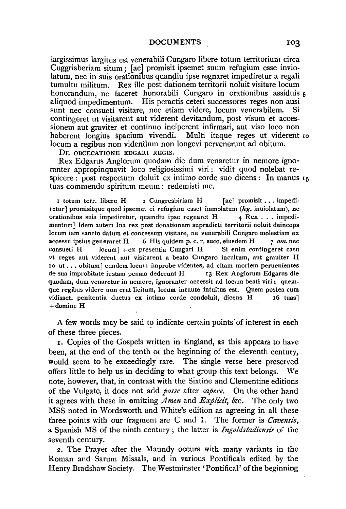#### DOCUMENTS 103

largissimus largitus est venerabili Cungaro libere totum territorium circa Cuggrisberiam situm; [ac] promisit ipsemet suum refugium esse inviolatum, nec in suis orationibus quandiu ipse regnaret impediretur a regali tumultu militum. Rex ille post dationem territorii noluit visitare locum honorandum, ne faceret honorabili Cungaro in orationibus assiduis 5 aliquod impedimentum. His peractis ceteri successores reges non ausi sunt nee consueti visitare, nee etiam videre, locum venerabilem. Si contingeret ut visitarent aut viderent devitandum, post visum et accessionem aut graviter et continuo inciperent infirmari, aut viso loco non haberent longius spacium vivendi. Multi itaque reges ut viderent ro locum a regibus non videndum non longevi pervenerunt ad obitum.

DE OBCECATIONE EDGARI REGIS.

Rex Edgarus Anglorum quodarn die dum venaretur in nemore ignoranter appropinquavit loco religiosissimi viri : vidit quod nolebat respicere: post respectum doluit ex intimo corde suo dicens: In manus 15 tuas commendo spiritum meum: redemisti me.

I totum terr. libere H 2 Cungresbiriam H [ac] promisit ... impediretur] promisitque quod ipsemet ei refugium esset immolatum *(leg.* inuiolatum), ne orationibus suis impediretur, quamdiu ipse regnaret  $H = 4$  Rex ... impedimentum] Idem autem Ina rex post donationem supradicti territorii noluit deinceps locum iam sancto datum et concessum visitare, ne venerabili Cungaro molestiam ex accessu ipsius generaret H 6 His quidem p.c. r. succ. eiusdem H *7 om.* nee consueti H locum] +ex presentia Cungari H Si enim contingeret casu vt reges aut viderent aut visitarent a beato Cungaro incultum, aut grauiter H 10 ut ..• obitum] eundem locum improbe videntes, ad citam mortem peruenientes de sua improbitate iustam penam dederunt H 13 Rex Anglorum Edgarus die quodam, dum venaretur in nemore, ignoranter accessit ad locum beati viri : quemque regibus videre non erat licitum, locum incaute intuitus est. Quem postea cum vidisset, penitentia ductus ex intimo corde condoluit, dicens H 16 tuas] +domine H

A few words may be said to indicate certain points of interest in each of these three pieces.

1. Copies of the Gospels written in England, as this appears to have been, at the end of the tenth or the beginning of the eleventh century, would seem to be exceedingly rare. The single verse here preserved offers little to help us in deciding to what group this text belongs. We note, however, that, in contrast with the Sixtine and Clementine editions of the Vulgate, it does not add *posse* after *capere.* On the other hand it agrees with these in omitting *Amen* and *Explicit,* &c. The only two MSS noted in Wordsworth and White's edition as agreeing in all these three points with our fragment are C and I. The former is *Cavensis,*  a Spanish MS of the ninth century ; the latter is *Ingoldstadiensis* of the seventh century.

*z.* The Prayer after the Maundy occurs with many variants in the Roman and Sarum Missals, and in various Pontificals edited by the Henry Bradshaw Society. The Westminster 'Pontifical' of the beginning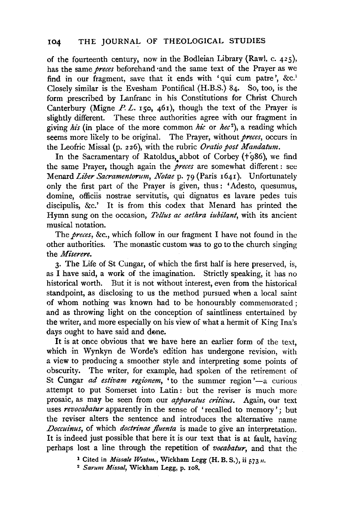of the fourteenth century, now in the Bodleian Library (Rawl. c. 425), has the same *preces* beforehand ·and the same text of the Prayer as we find in our fragment, save that it ends with 'qui cum patre', &c.<sup>1</sup> Closely similar is the Evesham Pontifical (H.B.S.) 84. So, too, is the form .prescribed by Lanfranc in his Constitutions for Christ Church Canterbury (Migne  $P L$ . 150, 461), though the text of the Prayer is slightly different. These three authorities agree with our fragment in giving *his* (in place of the more common *hie* or *hec <sup>2</sup> ),* a reading which seems more likely to be original. The Prayer, without *preces,* occurs in the Leofric Missal (p. 226), with the rubric *Oratio post Mandatum.* 

In the Sacramentary of Ratoldus, abbot of Corbey (+986), we find the same Prayer, though again the *preces* are somewhat different : see Menard *Liber Sacramentorum, Notae* p. 79 (Paris 1641). Unfortunately only the first part of the Prayer is given, thus : 'Adesto, quesumus, domine, officiis nostrae servitutis, qui dignatus es lavare pedes tuis discipulis, &c.' It is from this codex that Menard has printed the Hymn sung on the occasion, *Tellus ac aethra iubilant,* with its ancient musical notation.

The *preces,* &c., which follow in our fragment I have not found in the other authorities. The monastic custom was to go to the church singing the *Miserere.* 

3· The Life of St Cungar, of which the first half is here preserved, is, as I have said, a work of the imagination. Strictly speaking, it has no historical worth. But it is not without interest, even from the historical standpoint, as disclosing to us the method pursued when a local saint of whom nothing was known had to be honourably commemorated ; and as throwing light on the conception of saintliness entertained by the writer, and more especially on his view of what a hermit of King Ina's days ought to have said and done.

It is at once obvious that we have here an earlier form of the text, which in Wynkyn de Worde's edition has undergone revision, with a view to producing a smoother style and interpreting some points of obscurity. The writer, for example, had spoken of the retirement of St Cungar *ad estivam regionem*, 'to the summer region'—a curious attempt to put Somerset into Latin: but the reviser is much more prosaic, as may be seen from our *apparatus criticus*. Again, our text uses *revocabatur* apparently in the sense of 'recalled to memory'; but the reviser alters the sentence and introduces the alternative name *Doccuinus,* of which *doctrinae fluenta* is made to give an interpretation. It is indeed just possible that here it is our text that is at fault, having perhaps lost a line through the repetition of *vocabatur,* and that the

1 Cited in *Missale Westm.,* Wickham Legg **(H.** B. S.), ii 57311. 2 *Sarum Missal,* Wickham Legg, p. ro8.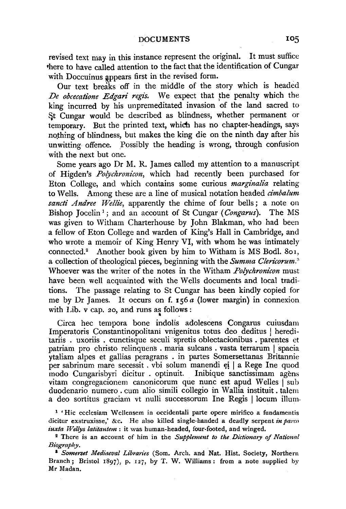revised text may in this instance represent the original. It must suffice •here to have called attention to the fact that the identification of Cungar with Doccuinus appears first in the revised form.

Our text breaks off in the middle of the story which is headed De obcecatione Edgari regis. We expect that the penalty which the king incurred by his unpremeditated invasion of the land sacred to St Cungar would be described as blindness, whether permanent or temporary. But the printed text, which has no chapter-headings, says nothing of blindness, but makes the king die on the ninth day after his unwitting offence. Possibly the heading is wrong, through confusion with the next but one.

Some years ago Dr M. R. James called my attention to a manuscript of Higden's *Polychronicon,* which had recently been purchased for Eton College, and which contains some curious *marginalia* relating to Wells. Among these are a line of musical notation headed *dmbalum*  sancti Andree Wellie, apparently the chime of four bells; a note on Bishop Jocelin<sup>1</sup>; and an account of St Cungar (*Congarus*). The MS was given to Witham Charterhouse by John Blakman, who had been a fellow of Eton College and warden of King's Hall in Cambridge, and who wrote a memoir of King Henry VI, with whom he was intimately connected.<sup>2</sup> Another book given by him to Witham is MS Bodl. 801, a collection of theological pieces, beginning with the *Summa Clericorum."*  Whoever was the writer of the notes in the Witham *Polychronicon* must have been well acquainted with the Wells documents and local traditions. The passage relating to St Cungar has been kindly copied for me by Dr James. It occurs on f. 156 *a* (lower margin) in connexion with Lib. v cap. 20, and runs as follows :

Circa bee tempora bone indolis adolescens Congarus cuiusdam Imperatoris Constantinopolitani vnigenitus totus deo deditus l hereditariis . uxoriis . cunctisque seculi spretis oblectacionibus . parentes et patriam pro christo relinquens . maria sulcans . vasta terrarum | spacia ytaliam alpes et gallias peragrans . in partes Somersettanas Britannie per sabrinum mare secessit . vbi solum manendi ei | a Rege Ine quod modo Cungarisbyri dicitur . optinuit. Inibique sanctissimam agens vitam congregacionem canonicorum que nunc est apud Welles | sub duodenario numero . cum alio simili collegio in Wallia instituit . talem a deo sortitus graciam vt nulli successorum Ine Regis I locum ilium-

1 'Hie ecclesiam Wellensem in occidentali parte opere mirifico a fundamentis dicitur exstruxisse,' &c. He also killed single-handed a deadly serpent *in parco iuxta Wellys latitantem* : it was human-headed, four-footed, and winged. 2 There is an account of him in the *Supplement to the. Dictionary of National* 

*Biography.* 

<sup>1</sup>*Somerset Mediaeval Libraries* (Som. Arch. and Nat. Hist. Society, Northern Branch; Bristol 1897), p. 127, by T. W. Williams: from a note supplied by Mr Madan.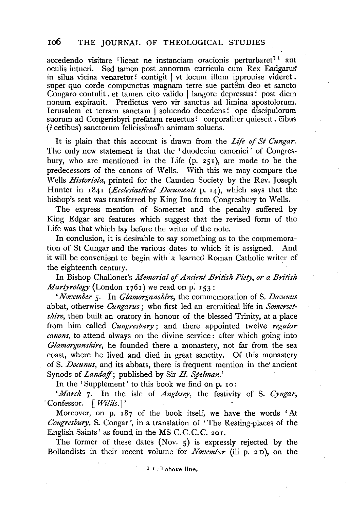accedendo visitare fliceat ne instanciam oracionis perturbaret<sup>11</sup> aut oculis intueri. Sed tamen post annorum curricula cum Rex Eadgarus' in silua vicina venaretur: contigit I vt locum illum ipprouise videret . super quo corde compunctus magnam terre sue partem deo et sancto Congaro contulit . et tamen cito valido | langore depressus: post diem nonum expirauit. Predictus vero vir sanctus ad limina apostolorum. Ierusalem et terram sanctam I soluendo decedens: ope discipulorum suorum ad Congerisbyri prefatam reuectus: corporaliter quiescit. cibus (? cetibus) sanctorum felicissimam animam soluens.

It is plain that this account is drawn from the *Life of St Cungar.*  The only new statement is that the 'duodecim canonici' of Congresbury, who are mentioned in the Life  $(p. 251)$ , are made to be the predecessors of the canons of Wells. With this we may compare the Wells *Historiola,* printed for the Camden Society by the Rev. Joseph Hunter in 1841 *(Ecclesiastical Documents* p. 14), which says that the bishop's seat was transferred by King Ina from Congresbury to Wells.

The express mention of Somerset and the penalty suffered by King Edgar are features which suggest that the revised form of the Life was that which lay before the writer of the note.

In conclusion, it is desirable to say something as to the commemora-<br>on of St Cungar and the various dates to which it is assigned. And tion of St Cungar and the various dates to which it is assigned. it will be convenient to begin with a learned Roman Catholic writer of the eighteenth century.

In Bishop Challoner's *Memorial* qf *Ancient Bn'tish Piety, or a British Martyrology* (London 1761) we read on p. 153:

*'November* 5· In *Glamorganshire,* the commemoration of S. *Docunus*  abbat, otherwise *Cungarus;* who first led an eremitical life in *Somersetshire*, then built an oratory in honour of the blessed Trinity, at a place from him called *Cungresbury* ; and there appointed twelve *regular canons,* to attend always on the divine service : after which going into *Glamorganshire,* he founded there a monastery, not far from the sea coast, where he lived and died in great sanctity. Of this monastery of S. *Docunus,* and its abbats, there is frequent mention in the' ancient Synods of *Landaff;* published by Sir H. *Spelman.'* 

In the 'Supplement' to this book we find on p. 10:

*'March* 7· In the isle of *Anglesey,* the festivity of S. *Cyngar,*  -Confessor. [ *Willis.* J '

Moreover, on p. 187 of the book itself, we have the words 'At *Congresbury,* S. Congar ', in a translation of 'The Resting-places of the English Saints' as found in the MS C.C.C.C. 201.

The former of these dates (Nov.  $5$ ) is expressly rejected by the Bollandists in their recent volume for *November* (iii p. 2 n), on the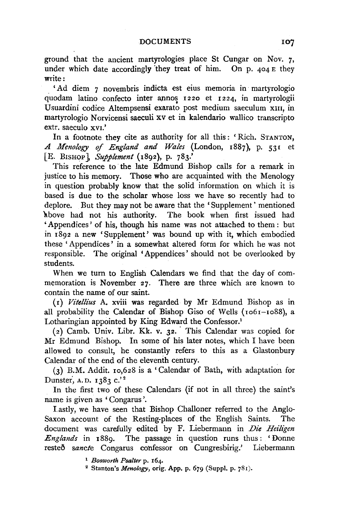ground that the ancient martyrologies place St Cungar on Nov. 7, under which date accordingly they treat of him. On p. 404 E they write:

'Ad diem 7 novembris indicta est eius memoria in martyrologio quodam latino confecto inter annos 1220 et 1224, in martyrologii Usuardini codice Altempsensi exarato post medium saeculum xm, in martyrologio Norvicensi saeculi xv et in kalendario wallico transcripto extr. saeculo XVI.'

In a footnote they cite as authority for all this: 'Rich. STANTON, *A Menology of England and Wales* (London, 1887), p. 53£ et [E. BISHOP], *Supplement* (1892}, p. 783.'

This reference to the late Edmund Bishop calls for a remark in justice to his memory. Those who are acquainted with the Menology in question probably know that the solid information on which it is based is due to the scholar whose loss we have so recently had to deplore. But they may not be aware that the ' Supplement ' mentioned above had not his authority. The book when first issued had 'Appendices' of his, though his name was not attached to them : but in 1892 a new 'Supplement' was bound up with it, which embodied these 'Appendices' in a somewhat altered form for which he was not responsible. The original 'Appendices' should not be overlooked by students.

When we turn to English Calendars we find that the day of commemoration is November 27. There are three which are known to contain the name of our saint.

(r) *Vitellius* A. xviii was regarded by Mr Edmund Bishop as in all probability the Calendar of Bishop Giso of Wells (ro6r-ro88), a Lotharingian appointed by King Edward the Confessor.1

 $(z)$  Camb. Univ. Libr. Kk. v. 32. This Calendar was copied for Mr Edmund Bishop. In some of his later notes, which I have been allowed to consult, he constantly refers to this as a Glastonbury Calendar of the end of the eleventh century.

(3) B.M. Addit. ro,628 is a 'Calendar of Bath, with adaptation for Dunster, A.D. 1383 c.'<sup>2</sup>

In the first two of these Calendars (if not in all three) the saint's name is given as 'Congarus '.

Lastly, we have seen that Bishop Challoner referred to the Anglo-Saxon account of the Resting-places of the English Saints. The document was carefully edited by F. Liebermann in *Die Hez'ligen Englands* in r889. The passage in question runs thus: 'Donne reste6 *sancte* Congarus confessor on Cungresbirig.' Liebermann

<sup>1</sup>*Bosworth Psalter* p. 164. 2 Stanton's *Menology,* orig. App. p. 679 (Suppl. p. 78r).